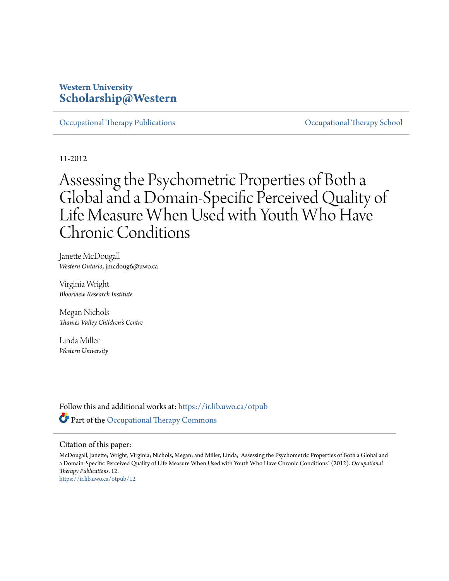# **Western University [Scholarship@Western](https://ir.lib.uwo.ca?utm_source=ir.lib.uwo.ca%2Fotpub%2F12&utm_medium=PDF&utm_campaign=PDFCoverPages)**

[Occupational Therapy Publications](https://ir.lib.uwo.ca/otpub?utm_source=ir.lib.uwo.ca%2Fotpub%2F12&utm_medium=PDF&utm_campaign=PDFCoverPages) [Occupational Therapy School](https://ir.lib.uwo.ca/ot?utm_source=ir.lib.uwo.ca%2Fotpub%2F12&utm_medium=PDF&utm_campaign=PDFCoverPages)

11-2012

# Assessing the Psychometric Properties of Both a Global and a Domain-Specific Perceived Quality of Life Measure When Used with Youth Who Have Chronic Conditions

Janette McDougall *Western Ontario*, jmcdoug6@uwo.ca

Virginia Wright *Bloorview Research Institute*

Megan Nichols *Thames Valley Children's Centre*

Linda Miller *Western University*

Follow this and additional works at: [https://ir.lib.uwo.ca/otpub](https://ir.lib.uwo.ca/otpub?utm_source=ir.lib.uwo.ca%2Fotpub%2F12&utm_medium=PDF&utm_campaign=PDFCoverPages) Part of the [Occupational Therapy Commons](http://network.bepress.com/hgg/discipline/752?utm_source=ir.lib.uwo.ca%2Fotpub%2F12&utm_medium=PDF&utm_campaign=PDFCoverPages)

# Citation of this paper:

McDougall, Janette; Wright, Virginia; Nichols, Megan; and Miller, Linda, "Assessing the Psychometric Properties of Both a Global and a Domain-Specific Perceived Quality of Life Measure When Used with Youth Who Have Chronic Conditions" (2012). *Occupational Therapy Publications*. 12. [https://ir.lib.uwo.ca/otpub/12](https://ir.lib.uwo.ca/otpub/12?utm_source=ir.lib.uwo.ca%2Fotpub%2F12&utm_medium=PDF&utm_campaign=PDFCoverPages)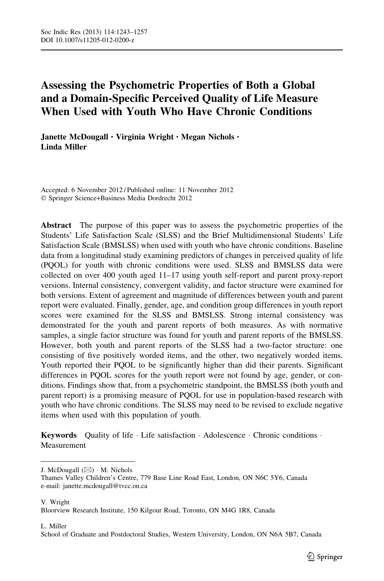# Assessing the Psychometric Properties of Both a Global and a Domain-Specific Perceived Quality of Life Measure When Used with Youth Who Have Chronic Conditions

Janette McDougall • Virginia Wright • Megan Nichols • Linda Miller

Accepted: 6 November 2012 / Published online: 11 November 2012 - Springer Science+Business Media Dordrecht 2012

Abstract The purpose of this paper was to assess the psychometric properties of the Students' Life Satisfaction Scale (SLSS) and the Brief Multidimensional Students' Life Satisfaction Scale (BMSLSS) when used with youth who have chronic conditions. Baseline data from a longitudinal study examining predictors of changes in perceived quality of life (PQOL) for youth with chronic conditions were used. SLSS and BMSLSS data were collected on over 400 youth aged 11–17 using youth self-report and parent proxy-report versions. Internal consistency, convergent validity, and factor structure were examined for both versions. Extent of agreement and magnitude of differences between youth and parent report were evaluated. Finally, gender, age, and condition group differences in youth report scores were examined for the SLSS and BMSLSS. Strong internal consistency was demonstrated for the youth and parent reports of both measures. As with normative samples, a single factor structure was found for youth and parent reports of the BMSLSS. However, both youth and parent reports of the SLSS had a two-factor structure: one consisting of five positively worded items, and the other, two negatively worded items. Youth reported their PQOL to be significantly higher than did their parents. Significant differences in PQOL scores for the youth report were not found by age, gender, or conditions. Findings show that, from a psychometric standpoint, the BMSLSS (both youth and parent report) is a promising measure of PQOL for use in population-based research with youth who have chronic conditions. The SLSS may need to be revised to exclude negative items when used with this population of youth.

Keywords Quality of life · Life satisfaction · Adolescence · Chronic conditions · Measurement

V. Wright Bloorview Research Institute, 150 Kilgour Road, Toronto, ON M4G 1R8, Canada

L. Miller School of Graduate and Postdoctoral Studies, Western University, London, ON N6A 5B7, Canada

J. McDougall (&) - M. Nichols

Thames Valley Children's Centre, 779 Base Line Road East, London, ON N6C 5Y6, Canada e-mail: janette.mcdougall@tvcc.on.ca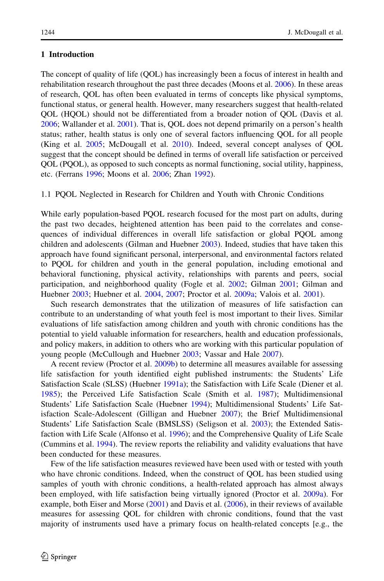## 1 Introduction

The concept of quality of life (QOL) has increasingly been a focus of interest in health and rehabilitation research throughout the past three decades (Moons et al. [2006](#page-14-0)). In these areas of research, QOL has often been evaluated in terms of concepts like physical symptoms, functional status, or general health. However, many researchers suggest that health-related QOL (HQOL) should not be differentiated from a broader notion of QOL (Davis et al. [2006;](#page-12-0) Wallander et al. [2001](#page-14-0)). That is, QOL does not depend primarily on a person's health status; rather, health status is only one of several factors influencing QOL for all people (King et al. [2005](#page-13-0); McDougall et al. [2010](#page-14-0)). Indeed, several concept analyses of QOL suggest that the concept should be defined in terms of overall life satisfaction or perceived QOL (PQOL), as opposed to such concepts as normal functioning, social utility, happiness, etc. (Ferrans [1996](#page-13-0); Moons et al. [2006;](#page-14-0) Zhan [1992](#page-15-0)).

1.1 PQOL Neglected in Research for Children and Youth with Chronic Conditions

While early population-based PQOL research focused for the most part on adults, during the past two decades, heightened attention has been paid to the correlates and consequences of individual differences in overall life satisfaction or global PQOL among children and adolescents (Gilman and Huebner [2003](#page-13-0)). Indeed, studies that have taken this approach have found significant personal, interpersonal, and environmental factors related to PQOL for children and youth in the general population, including emotional and behavioral functioning, physical activity, relationships with parents and peers, social participation, and neighborhood quality (Fogle et al. [2002](#page-13-0); Gilman [2001](#page-13-0); Gilman and Huebner [2003](#page-13-0); Huebner et al. [2004](#page-13-0), [2007;](#page-13-0) Proctor et al. [2009a](#page-14-0); Valois et al. [2001](#page-14-0)).

Such research demonstrates that the utilization of measures of life satisfaction can contribute to an understanding of what youth feel is most important to their lives. Similar evaluations of life satisfaction among children and youth with chronic conditions has the potential to yield valuable information for researchers, health and education professionals, and policy makers, in addition to others who are working with this particular population of young people (McCullough and Huebner [2003;](#page-14-0) Vassar and Hale [2007](#page-14-0)).

A recent review (Proctor et al. [2009b](#page-14-0)) to determine all measures available for assessing life satisfaction for youth identified eight published instruments: the Students' Life Satisfaction Scale (SLSS) (Huebner [1991a\)](#page-13-0); the Satisfaction with Life Scale (Diener et al. [1985\)](#page-12-0); the Perceived Life Satisfaction Scale (Smith et al. [1987\)](#page-14-0); Multidimensional Students' Life Satisfaction Scale (Huebner [1994](#page-13-0)); Multidimensional Students' Life Satisfaction Scale-Adolescent (Gilligan and Huebner [2007](#page-13-0)); the Brief Multidimensional Students' Life Satisfaction Scale (BMSLSS) (Seligson et al. [2003\)](#page-14-0); the Extended Satisfaction with Life Scale (Alfonso et al. [1996](#page-12-0)); and the Comprehensive Quality of Life Scale (Cummins et al. [1994](#page-12-0)). The review reports the reliability and validity evaluations that have been conducted for these measures.

Few of the life satisfaction measures reviewed have been used with or tested with youth who have chronic conditions. Indeed, when the construct of QOL has been studied using samples of youth with chronic conditions, a health-related approach has almost always been employed, with life satisfaction being virtually ignored (Proctor et al. [2009a](#page-14-0)). For example, both Eiser and Morse ([2001\)](#page-12-0) and Davis et al. ([2006\)](#page-12-0), in their reviews of available measures for assessing QOL for children with chronic conditions, found that the vast majority of instruments used have a primary focus on health-related concepts [e.g., the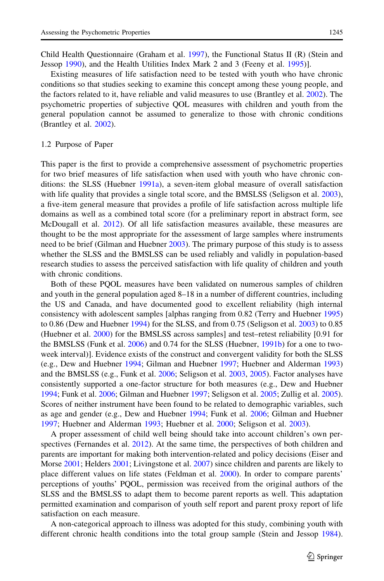Child Health Questionnaire (Graham et al. [1997](#page-13-0)), the Functional Status II (R) (Stein and Jessop [1990](#page-14-0)), and the Health Utilities Index Mark 2 and 3 (Feeny et al. [1995\)](#page-13-0)].

Existing measures of life satisfaction need to be tested with youth who have chronic conditions so that studies seeking to examine this concept among these young people, and the factors related to it, have reliable and valid measures to use (Brantley et al. [2002\)](#page-12-0). The psychometric properties of subjective QOL measures with children and youth from the general population cannot be assumed to generalize to those with chronic conditions (Brantley et al. [2002](#page-12-0)).

## 1.2 Purpose of Paper

This paper is the first to provide a comprehensive assessment of psychometric properties for two brief measures of life satisfaction when used with youth who have chronic conditions: the SLSS (Huebner [1991a](#page-13-0)), a seven-item global measure of overall satisfaction with life quality that provides a single total score, and the BMSLSS (Seligson et al. [2003](#page-14-0)), a five-item general measure that provides a profile of life satisfaction across multiple life domains as well as a combined total score (for a preliminary report in abstract form, see McDougall et al. [2012](#page-14-0)). Of all life satisfaction measures available, these measures are thought to be the most appropriate for the assessment of large samples where instruments need to be brief (Gilman and Huebner [2003](#page-13-0)). The primary purpose of this study is to assess whether the SLSS and the BMSLSS can be used reliably and validly in population-based research studies to assess the perceived satisfaction with life quality of children and youth with chronic conditions.

Both of these PQOL measures have been validated on numerous samples of children and youth in the general population aged 8–18 in a number of different countries, including the US and Canada, and have documented good to excellent reliability (high internal consistency with adolescent samples [alphas ranging from 0.82 (Terry and Huebner [1995](#page-14-0)) to 0.86 (Dew and Huebner [1994](#page-12-0)) for the SLSS, and from 0.75 (Seligson et al. [2003\)](#page-14-0) to 0.85 (Huebner et al. [2000\)](#page-13-0) for the BMSLSS across samples] and test–retest reliability [0.91 for the BMSLSS (Funk et al. [2006](#page-13-0)) and 0.74 for the SLSS (Huebner, [1991b\)](#page-13-0) for a one to twoweek interval)]. Evidence exists of the construct and convergent validity for both the SLSS (e.g., Dew and Huebner [1994;](#page-12-0) Gilman and Huebner [1997;](#page-13-0) Huebner and Alderman [1993](#page-13-0)) and the BMSLSS (e.g., Funk et al. [2006](#page-13-0); Seligson et al. [2003](#page-14-0), [2005\)](#page-14-0). Factor analyses have consistently supported a one-factor structure for both measures (e.g., Dew and Huebner [1994;](#page-12-0) Funk et al. [2006;](#page-13-0) Gilman and Huebner [1997](#page-13-0); Seligson et al. [2005;](#page-14-0) Zullig et al. [2005](#page-15-0)). Scores of neither instrument have been found to be related to demographic variables, such as age and gender (e.g., Dew and Huebner [1994](#page-12-0); Funk et al. [2006](#page-13-0); Gilman and Huebner [1997;](#page-13-0) Huebner and Alderman [1993](#page-13-0); Huebner et al. [2000](#page-13-0); Seligson et al. [2003](#page-14-0)).

A proper assessment of child well being should take into account children's own per-spectives (Fernandes et al. [2012](#page-13-0)). At the same time, the perspectives of both children and parents are important for making both intervention-related and policy decisions (Eiser and Morse [2001](#page-12-0); Helders [2001;](#page-13-0) Livingstone et al. [2007](#page-13-0)) since children and parents are likely to place different values on life states (Feldman et al. [2000\)](#page-13-0). In order to compare parents' perceptions of youths' PQOL, permission was received from the original authors of the SLSS and the BMSLSS to adapt them to become parent reports as well. This adaptation permitted examination and comparison of youth self report and parent proxy report of life satisfaction on each measure.

A non-categorical approach to illness was adopted for this study, combining youth with different chronic health conditions into the total group sample (Stein and Jessop [1984](#page-14-0)).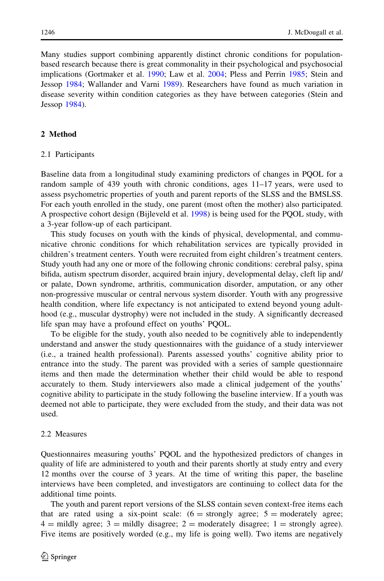Many studies support combining apparently distinct chronic conditions for populationbased research because there is great commonality in their psychological and psychosocial implications (Gortmaker et al. [1990;](#page-13-0) Law et al. [2004;](#page-13-0) Pless and Perrin [1985](#page-14-0); Stein and Jessop [1984;](#page-14-0) Wallander and Varni [1989](#page-14-0)). Researchers have found as much variation in disease severity within condition categories as they have between categories (Stein and Jessop [1984](#page-14-0)).

# 2 Method

#### 2.1 Participants

Baseline data from a longitudinal study examining predictors of changes in PQOL for a random sample of 439 youth with chronic conditions, ages 11–17 years, were used to assess psychometric properties of youth and parent reports of the SLSS and the BMSLSS. For each youth enrolled in the study, one parent (most often the mother) also participated. A prospective cohort design (Bijleveld et al. [1998](#page-12-0)) is being used for the PQOL study, with a 3-year follow-up of each participant.

This study focuses on youth with the kinds of physical, developmental, and communicative chronic conditions for which rehabilitation services are typically provided in children's treatment centers. Youth were recruited from eight children's treatment centers. Study youth had any one or more of the following chronic conditions: cerebral palsy, spina bifida, autism spectrum disorder, acquired brain injury, developmental delay, cleft lip and/ or palate, Down syndrome, arthritis, communication disorder, amputation, or any other non-progressive muscular or central nervous system disorder. Youth with any progressive health condition, where life expectancy is not anticipated to extend beyond young adulthood (e.g., muscular dystrophy) were not included in the study. A significantly decreased life span may have a profound effect on youths' PQOL.

To be eligible for the study, youth also needed to be cognitively able to independently understand and answer the study questionnaires with the guidance of a study interviewer (i.e., a trained health professional). Parents assessed youths' cognitive ability prior to entrance into the study. The parent was provided with a series of sample questionnaire items and then made the determination whether their child would be able to respond accurately to them. Study interviewers also made a clinical judgement of the youths' cognitive ability to participate in the study following the baseline interview. If a youth was deemed not able to participate, they were excluded from the study, and their data was not used.

#### 2.2 Measures

Questionnaires measuring youths' PQOL and the hypothesized predictors of changes in quality of life are administered to youth and their parents shortly at study entry and every 12 months over the course of 3 years. At the time of writing this paper, the baseline interviews have been completed, and investigators are continuing to collect data for the additional time points.

The youth and parent report versions of the SLSS contain seven context-free items each that are rated using a six-point scale:  $(6 =$  strongly agree;  $5 =$  moderately agree;  $4 =$  mildly agree;  $3 =$  mildly disagree;  $2 =$  moderately disagree;  $1 =$  strongly agree). Five items are positively worded (e.g., my life is going well). Two items are negatively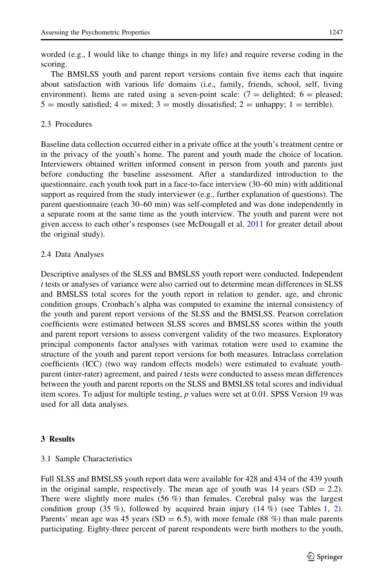worded (e.g., I would like to change things in my life) and require reverse coding in the scoring.

The BMSLSS youth and parent report versions contain five items each that inquire about satisfaction with various life domains (i.e., family, friends, school, self, living environment). Items are rated using a seven-point scale:  $(7 =$  delighted; 6 = pleased;  $5 =$  mostly satisfied;  $4 =$  mixed;  $3 =$  mostly dissatisfied;  $2 =$  unhappy;  $1 =$  terrible).

## 2.3 Procedures

Baseline data collection occurred either in a private office at the youth's treatment centre or in the privacy of the youth's home. The parent and youth made the choice of location. Interviewers obtained written informed consent in person from youth and parents just before conducting the baseline assessment. After a standardized introduction to the questionnaire, each youth took part in a face-to-face interview (30–60 min) with additional support as required from the study interviewer (e.g., further explanation of questions). The parent questionnaire (each 30–60 min) was self-completed and was done independently in a separate room at the same time as the youth interview. The youth and parent were not given access to each other's responses (see McDougall et al. [2011](#page-14-0) for greater detail about the original study).

# 2.4 Data Analyses

Descriptive analyses of the SLSS and BMSLSS youth report were conducted. Independent t tests or analyses of variance were also carried out to determine mean differences in SLSS and BMSLSS total scores for the youth report in relation to gender, age, and chronic condition groups. Cronbach's alpha was computed to examine the internal consistency of the youth and parent report versions of the SLSS and the BMSLSS. Pearson correlation coefficients were estimated between SLSS scores and BMSLSS scores within the youth and parent report versions to assess convergent validity of the two measures. Exploratory principal components factor analyses with varimax rotation were used to examine the structure of the youth and parent report versions for both measures. Intraclass correlation coefficients (ICC) (two way random effects models) were estimated to evaluate youthparent (inter-rater) agreement, and paired t tests were conducted to assess mean differences between the youth and parent reports on the SLSS and BMSLSS total scores and individual item scores. To adjust for multiple testing, p values were set at 0.01. SPSS Version 19 was used for all data analyses.

## 3 Results

# 3.1 Sample Characteristics

Full SLSS and BMSLSS youth report data were available for 428 and 434 of the 439 youth in the original sample, respectively. The mean age of youth was 14 years  $(SD = 2.2)$ . There were slightly more males (56 %) than females. Cerebral palsy was the largest condition group  $(35 \%)$ , followed by acquired brain injury  $(14 \%)$  $(14 \%)$  $(14 \%)$  (see Tables 1, [2](#page-7-0)). Parents' mean age was 45 years (SD = 6.5), with more female (88 %) than male parents participating. Eighty-three percent of parent respondents were birth mothers to the youth,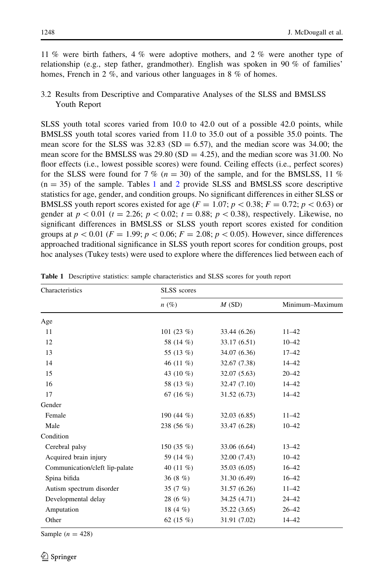<span id="page-6-0"></span>11 % were birth fathers, 4 % were adoptive mothers, and 2 % were another type of relationship (e.g., step father, grandmother). English was spoken in 90 % of families' homes, French in 2 %, and various other languages in 8 % of homes.

3.2 Results from Descriptive and Comparative Analyses of the SLSS and BMSLSS Youth Report

SLSS youth total scores varied from 10.0 to 42.0 out of a possible 42.0 points, while BMSLSS youth total scores varied from 11.0 to 35.0 out of a possible 35.0 points. The mean score for the SLSS was  $32.83$  (SD = 6.57), and the median score was  $34.00$ ; the mean score for the BMSLSS was  $29.80$  (SD = 4.25), and the median score was  $31.00$ . No floor effects (i.e., lowest possible scores) were found. Ceiling effects (i.e., perfect scores) for the SLSS were found for 7 % ( $n = 30$ ) of the sample, and for the BMSLSS, 11 %  $(n = 35)$  of the sample. Tables 1 and [2](#page-7-0) provide SLSS and BMSLSS score descriptive statistics for age, gender, and condition groups. No significant differences in either SLSS or BMSLSS youth report scores existed for age  $(F = 1.07; p < 0.38; F = 0.72; p < 0.63)$  or gender at  $p < 0.01$  (t = 2.26;  $p < 0.02$ ; t = 0.88; p < 0.38), respectively. Likewise, no significant differences in BMSLSS or SLSS youth report scores existed for condition groups at  $p < 0.01$  ( $F = 1.99$ ;  $p < 0.06$ ;  $F = 2.08$ ;  $p < 0.05$ ). However, since differences approached traditional significance in SLSS youth report scores for condition groups, post hoc analyses (Tukey tests) were used to explore where the differences lied between each of

| <b>SLSS</b> scores |              |                 |  |  |
|--------------------|--------------|-----------------|--|--|
| $n(\%)$            | M(SD)        | Minimum-Maximum |  |  |
|                    |              |                 |  |  |
| 101 $(23\%)$       | 33.44 (6.26) | $11 - 42$       |  |  |
| 58 (14 %)          | 33.17 (6.51) | $10 - 42$       |  |  |
| 55 (13 %)          | 34.07 (6.36) | $17 - 42$       |  |  |
| 46 $(11\%)$        | 32.67 (7.38) | $14 - 42$       |  |  |
| 43 $(10\%)$        | 32.07(5.63)  | $20 - 42$       |  |  |
| 58 (13 %)          | 32.47 (7.10) | 14 - 42         |  |  |
| 67 $(16 \%)$       | 31.52(6.73)  | $14 - 42$       |  |  |
|                    |              |                 |  |  |
| 190 $(44\%$        | 32.03(6.85)  | $11 - 42$       |  |  |
| 238 (56 %)         | 33.47 (6.28) | $10 - 42$       |  |  |
|                    |              |                 |  |  |
| 150 $(35\%)$       | 33.06 (6.64) | $13 - 42$       |  |  |
| 59 (14 %)          | 32.00 (7.43) | $10 - 42$       |  |  |
| 40 $(11\%)$        | 35.03(6.05)  | $16 - 42$       |  |  |
| 36 $(8\%)$         | 31.30 (6.49) | $16 - 42$       |  |  |
| 35 $(7%)$          | 31.57 (6.26) | $11 - 42$       |  |  |
| 28(6%)             | 34.25 (4.71) | $24 - 42$       |  |  |
| 18 $(4 \%)$        | 35.22(3.65)  | $26 - 42$       |  |  |
| 62 $(15 \%)$       | 31.91 (7.02) | $14 - 42$       |  |  |
|                    |              |                 |  |  |

Table 1 Descriptive statistics: sample characteristics and SLSS scores for youth report

Sample  $(n = 428)$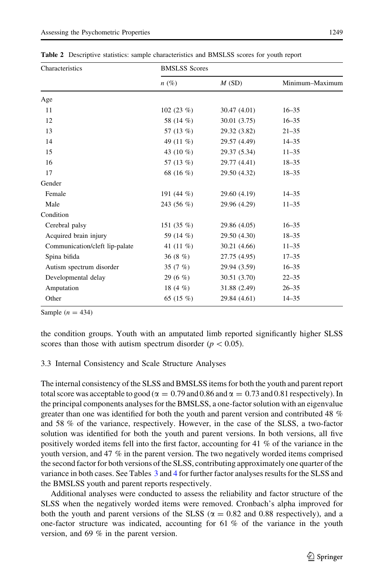| Characteristics                | <b>BMSLSS</b> Scores |              |                 |  |  |
|--------------------------------|----------------------|--------------|-----------------|--|--|
|                                | $n(\%)$              | M(SD)        | Minimum-Maximum |  |  |
| Age                            |                      |              |                 |  |  |
| 11                             | 102(23%)             | 30.47 (4.01) | $16 - 35$       |  |  |
| 12                             | 58 (14 %)            | 30.01 (3.75) | $16 - 35$       |  |  |
| 13                             | 57 (13 %)            | 29.32 (3.82) | $21 - 35$       |  |  |
| 14                             | 49 (11 %)            | 29.57 (4.49) | $14 - 35$       |  |  |
| 15                             | 43 (10 %)            | 29.37 (5.34) | $11 - 35$       |  |  |
| 16                             | 57 $(13\%)$          | 29.77 (4.41) | $18 - 35$       |  |  |
| 17                             | 68 (16 %)            | 29.50 (4.32) | $18 - 35$       |  |  |
| Gender                         |                      |              |                 |  |  |
| Female                         | 191 $(44\%)$         | 29.60 (4.19) | $14 - 35$       |  |  |
| Male                           | 243 (56 %)           | 29.96 (4.29) | $11 - 35$       |  |  |
| Condition                      |                      |              |                 |  |  |
| Cerebral palsy                 | 151 $(35\%)$         | 29.86 (4.05) | $16 - 35$       |  |  |
| Acquired brain injury          | 59 (14 %)            | 29.50 (4.30) | $18 - 35$       |  |  |
| Communication/cleft lip-palate | 41 $(11\%$           | 30.21(4.66)  | $11 - 35$       |  |  |
| Spina bifida                   | 36 $(8\%)$           | 27.75 (4.95) | $17 - 35$       |  |  |
| Autism spectrum disorder       | 35 $(7%)$            | 29.94 (3.59) | $16 - 35$       |  |  |
| Developmental delay            | 29 (6 $%$ )          | 30.51 (3.70) | $22 - 35$       |  |  |
| Amputation                     | 18 $(4 \%)$          | 31.88 (2.49) | $26 - 35$       |  |  |
| Other                          | 65 $(15 \%)$         | 29.84 (4.61) | $14 - 35$       |  |  |
|                                |                      |              |                 |  |  |

<span id="page-7-0"></span>Table 2 Descriptive statistics: sample characteristics and BMSLSS scores for youth report

Sample  $(n = 434)$ 

the condition groups. Youth with an amputated limb reported significantly higher SLSS scores than those with autism spectrum disorder ( $p<0.05$ ).

#### 3.3 Internal Consistency and Scale Structure Analyses

The internal consistency of the SLSS and BMSLSS items for both the youth and parent report total score was acceptable to good ( $\alpha = 0.79$  and 0.86 and  $\alpha = 0.73$  and 0.81 respectively). In the principal components analyses for the BMSLSS, a one-factor solution with an eigenvalue greater than one was identified for both the youth and parent version and contributed 48 % and 58 % of the variance, respectively. However, in the case of the SLSS, a two-factor solution was identified for both the youth and parent versions. In both versions, all five positively worded items fell into the first factor, accounting for 41 % of the variance in the youth version, and 47 % in the parent version. The two negatively worded items comprised the second factor for both versions of the SLSS, contributing approximately one quarter of the variance in both cases. See Tables [3](#page-8-0) and [4](#page-8-0) for further factor analyses results for the SLSS and the BMSLSS youth and parent reports respectively.

Additional analyses were conducted to assess the reliability and factor structure of the SLSS when the negatively worded items were removed. Cronbach's alpha improved for both the youth and parent versions of the SLSS ( $\alpha = 0.82$  and 0.88 respectively), and a one-factor structure was indicated, accounting for 61 % of the variance in the youth version, and 69 % in the parent version.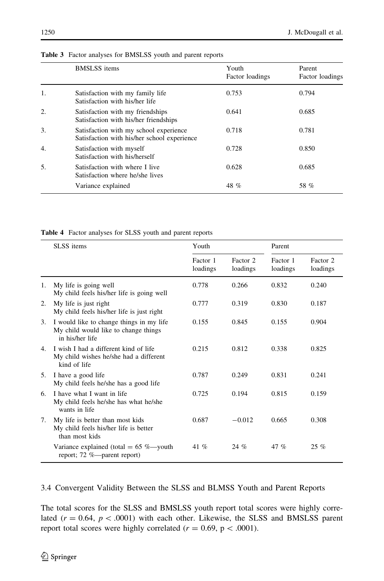|                  | <b>BMSLSS</b> items                                                                   | Youth<br>Factor loadings | Parent<br>Factor loadings |
|------------------|---------------------------------------------------------------------------------------|--------------------------|---------------------------|
| 1.               | Satisfaction with my family life<br>Satisfaction with his/her life                    | 0.753                    | 0.794                     |
| 2.               | Satisfaction with my friendships<br>Satisfaction with his/her friendships             | 0.641                    | 0.685                     |
| 3.               | Satisfaction with my school experience<br>Satisfaction with his/her school experience | 0.718                    | 0.781                     |
| $\overline{4}$ . | Satisfaction with myself<br>Satisfaction with his/herself                             | 0.728                    | 0.850                     |
| 5.               | Satisfaction with where I live<br>Satisfaction where he/she lives                     | 0.628                    | 0.685                     |
|                  | Variance explained                                                                    | 48 %                     | 58 %                      |

#### <span id="page-8-0"></span>Table 3 Factor analyses for BMSLSS youth and parent reports

Table 4 Factor analyses for SLSS youth and parent reports

|                | SLSS items                                                                                          | Youth                |                      | Parent               |                      |  |
|----------------|-----------------------------------------------------------------------------------------------------|----------------------|----------------------|----------------------|----------------------|--|
|                |                                                                                                     | Factor 1<br>loadings | Factor 2<br>loadings | Factor 1<br>loadings | Factor 2<br>loadings |  |
| 1.             | My life is going well<br>My child feels his/her life is going well                                  | 0.778                | 0.266                | 0.832                | 0.240                |  |
| 2.             | My life is just right<br>My child feels his/her life is just right                                  | 0.777                | 0.319                | 0.830                | 0.187                |  |
| 3.             | I would like to change things in my life<br>My child would like to change things<br>in his/her life | 0.155                | 0.845                | 0.155                | 0.904                |  |
| $\overline{4}$ | I wish I had a different kind of life<br>My child wishes he/she had a different<br>kind of life     | 0.215                | 0.812                | 0.338                | 0.825                |  |
| 5.             | I have a good life<br>My child feels he/she has a good life                                         | 0.787                | 0.249                | 0.831                | 0.241                |  |
| 6.             | I have what I want in life<br>My child feels he/she has what he/she<br>wants in life                | 0.725                | 0.194                | 0.815                | 0.159                |  |
| 7.             | My life is better than most kids<br>My child feels his/her life is better<br>than most kids         | 0.687                | $-0.012$             | 0.665                | 0.308                |  |
|                | Variance explained (total $= 65$ %—youth<br>report; 72 %—parent report)                             | 41 %                 | 24%                  | 47%                  | $25\%$               |  |

3.4 Convergent Validity Between the SLSS and BLMSS Youth and Parent Reports

The total scores for the SLSS and BMSLSS youth report total scores were highly correlated ( $r = 0.64$ ,  $p < .0001$ ) with each other. Likewise, the SLSS and BMSLSS parent report total scores were highly correlated ( $r = 0.69$ ,  $p < .0001$ ).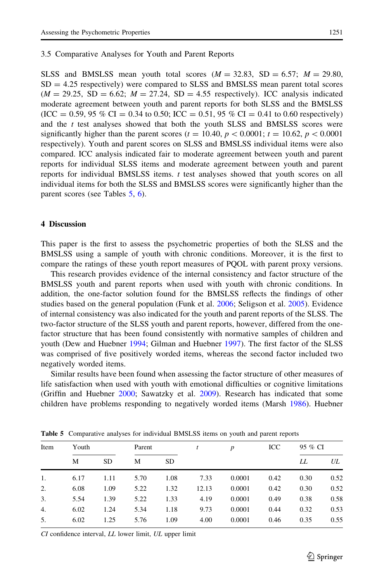#### 3.5 Comparative Analyses for Youth and Parent Reports

SLSS and BMSLSS mean youth total scores  $(M = 32.83, SD = 6.57; M = 29.80,$  $SD = 4.25$  respectively) were compared to SLSS and BMSLSS mean parent total scores  $(M = 29.25, SD = 6.62; M = 27.24, SD = 4.55$  respectively). ICC analysis indicated moderate agreement between youth and parent reports for both SLSS and the BMSLSS  $(ICC = 0.59, 95\% CI = 0.34$  to 0.50; ICC = 0.51, 95 % CI = 0.41 to 0.60 respectively) and the  $t$  test analyses showed that both the youth SLSS and BMSLSS scores were significantly higher than the parent scores ( $t = 10.40$ ,  $p < 0.0001$ ;  $t = 10.62$ ,  $p < 0.0001$ respectively). Youth and parent scores on SLSS and BMSLSS individual items were also compared. ICC analysis indicated fair to moderate agreement between youth and parent reports for individual SLSS items and moderate agreement between youth and parent reports for individual BMSLSS items. t test analyses showed that youth scores on all individual items for both the SLSS and BMSLSS scores were significantly higher than the parent scores (see Tables 5, [6](#page-10-0)).

#### 4 Discussion

This paper is the first to assess the psychometric properties of both the SLSS and the BMSLSS using a sample of youth with chronic conditions. Moreover, it is the first to compare the ratings of these youth report measures of PQOL with parent proxy versions.

This research provides evidence of the internal consistency and factor structure of the BMSLSS youth and parent reports when used with youth with chronic conditions. In addition, the one-factor solution found for the BMSLSS reflects the findings of other studies based on the general population (Funk et al. [2006](#page-13-0); Seligson et al. [2005\)](#page-14-0). Evidence of internal consistency was also indicated for the youth and parent reports of the SLSS. The two-factor structure of the SLSS youth and parent reports, however, differed from the onefactor structure that has been found consistently with normative samples of children and youth (Dew and Huebner [1994](#page-12-0); Gilman and Huebner [1997\)](#page-13-0). The first factor of the SLSS was comprised of five positively worded items, whereas the second factor included two negatively worded items.

Similar results have been found when assessing the factor structure of other measures of life satisfaction when used with youth with emotional difficulties or cognitive limitations (Griffin and Huebner [2000;](#page-13-0) Sawatzky et al. [2009\)](#page-14-0). Research has indicated that some children have problems responding to negatively worded items (Marsh [1986\)](#page-14-0). Huebner

| Item | Youth |           | Parent |      |       | $\boldsymbol{p}$ | ICC  | 95 % CI |      |
|------|-------|-----------|--------|------|-------|------------------|------|---------|------|
|      | M     | <b>SD</b> | М      | SD.  |       |                  |      | LL      | UL   |
| 1.   | 6.17  | 1.11      | 5.70   | 1.08 | 7.33  | 0.0001           | 0.42 | 0.30    | 0.52 |
| 2.   | 6.08  | 1.09      | 5.22   | 1.32 | 12.13 | 0.0001           | 0.42 | 0.30    | 0.52 |
| 3.   | 5.54  | 1.39      | 5.22   | 1.33 | 4.19  | 0.0001           | 0.49 | 0.38    | 0.58 |
| 4.   | 6.02  | 1.24      | 5.34   | 1.18 | 9.73  | 0.0001           | 0.44 | 0.32    | 0.53 |
| 5.   | 6.02  | 1.25      | 5.76   | 1.09 | 4.00  | 0.0001           | 0.46 | 0.35    | 0.55 |
|      |       |           |        |      |       |                  |      |         |      |

Table 5 Comparative analyses for individual BMSLSS items on youth and parent reports

CI confidence interval, LL lower limit, UL upper limit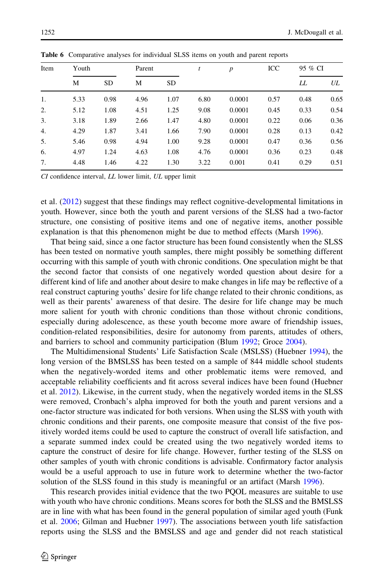| Item | Youth |           | Parent |           | t    | $\boldsymbol{p}$ | ICC  | 95 % CI |      |
|------|-------|-----------|--------|-----------|------|------------------|------|---------|------|
|      | M     | <b>SD</b> | М      | <b>SD</b> |      |                  |      | LL      | UL   |
| 1.   | 5.33  | 0.98      | 4.96   | 1.07      | 6.80 | 0.0001           | 0.57 | 0.48    | 0.65 |
| 2.   | 5.12  | 1.08      | 4.51   | 1.25      | 9.08 | 0.0001           | 0.45 | 0.33    | 0.54 |
| 3.   | 3.18  | 1.89      | 2.66   | 1.47      | 4.80 | 0.0001           | 0.22 | 0.06    | 0.36 |
| 4.   | 4.29  | 1.87      | 3.41   | 1.66      | 7.90 | 0.0001           | 0.28 | 0.13    | 0.42 |
| 5.   | 5.46  | 0.98      | 4.94   | 1.00      | 9.28 | 0.0001           | 0.47 | 0.36    | 0.56 |
| 6.   | 4.97  | 1.24      | 4.63   | 1.08      | 4.76 | 0.0001           | 0.36 | 0.23    | 0.48 |
| 7.   | 4.48  | 1.46      | 4.22   | 1.30      | 3.22 | 0.001            | 0.41 | 0.29    | 0.51 |

<span id="page-10-0"></span>Table 6 Comparative analyses for individual SLSS items on youth and parent reports

CI confidence interval, LL lower limit, UL upper limit

et al. [\(2012](#page-13-0)) suggest that these findings may reflect cognitive-developmental limitations in youth. However, since both the youth and parent versions of the SLSS had a two-factor structure, one consisting of positive items and one of negative items, another possible explanation is that this phenomenon might be due to method effects (Marsh [1996](#page-14-0)).

That being said, since a one factor structure has been found consistently when the SLSS has been tested on normative youth samples, there might possibly be something different occurring with this sample of youth with chronic conditions. One speculation might be that the second factor that consists of one negatively worded question about desire for a different kind of life and another about desire to make changes in life may be reflective of a real construct capturing youths' desire for life change related to their chronic conditions, as well as their parents' awareness of that desire. The desire for life change may be much more salient for youth with chronic conditions than those without chronic conditions, especially during adolescence, as these youth become more aware of friendship issues, condition-related responsibilities, desire for autonomy from parents, attitudes of others, and barriers to school and community participation (Blum [1992;](#page-12-0) Groce [2004](#page-13-0)).

The Multidimensional Students' Life Satisfaction Scale (MSLSS) (Huebner [1994](#page-13-0)), the long version of the BMSLSS has been tested on a sample of 844 middle school students when the negatively-worded items and other problematic items were removed, and acceptable reliability coefficients and fit across several indices have been found (Huebner et al. [2012\)](#page-13-0). Likewise, in the current study, when the negatively worded items in the SLSS were removed, Cronbach's alpha improved for both the youth and parent versions and a one-factor structure was indicated for both versions. When using the SLSS with youth with chronic conditions and their parents, one composite measure that consist of the five positively worded items could be used to capture the construct of overall life satisfaction, and a separate summed index could be created using the two negatively worded items to capture the construct of desire for life change. However, further testing of the SLSS on other samples of youth with chronic conditions is advisable. Confirmatory factor analysis would be a useful approach to use in future work to determine whether the two-factor solution of the SLSS found in this study is meaningful or an artifact (Marsh [1996\)](#page-14-0).

This research provides initial evidence that the two PQOL measures are suitable to use with youth who have chronic conditions. Means scores for both the SLSS and the BMSLSS are in line with what has been found in the general population of similar aged youth (Funk et al. [2006](#page-13-0); Gilman and Huebner [1997\)](#page-13-0). The associations between youth life satisfaction reports using the SLSS and the BMSLSS and age and gender did not reach statistical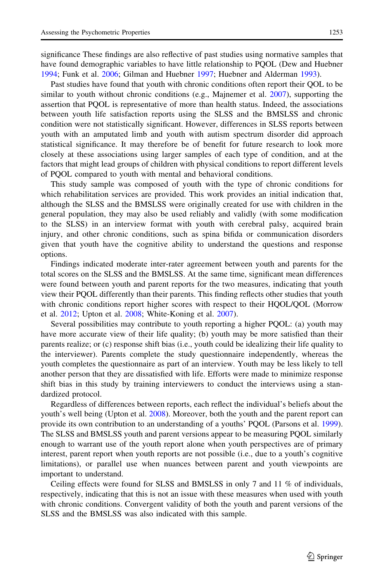significance These findings are also reflective of past studies using normative samples that have found demographic variables to have little relationship to PQOL (Dew and Huebner [1994;](#page-12-0) Funk et al. [2006](#page-13-0); Gilman and Huebner [1997](#page-13-0); Huebner and Alderman [1993\)](#page-13-0).

Past studies have found that youth with chronic conditions often report their QOL to be similar to youth without chronic conditions (e.g., Majnemer et al. [2007\)](#page-14-0), supporting the assertion that PQOL is representative of more than health status. Indeed, the associations between youth life satisfaction reports using the SLSS and the BMSLSS and chronic condition were not statistically significant. However, differences in SLSS reports between youth with an amputated limb and youth with autism spectrum disorder did approach statistical significance. It may therefore be of benefit for future research to look more closely at these associations using larger samples of each type of condition, and at the factors that might lead groups of children with physical conditions to report different levels of PQOL compared to youth with mental and behavioral conditions.

This study sample was composed of youth with the type of chronic conditions for which rehabilitation services are provided. This work provides an initial indication that, although the SLSS and the BMSLSS were originally created for use with children in the general population, they may also be used reliably and validly (with some modification to the SLSS) in an interview format with youth with cerebral palsy, acquired brain injury, and other chronic conditions, such as spina bifida or communication disorders given that youth have the cognitive ability to understand the questions and response options.

Findings indicated moderate inter-rater agreement between youth and parents for the total scores on the SLSS and the BMSLSS. At the same time, significant mean differences were found between youth and parent reports for the two measures, indicating that youth view their PQOL differently than their parents. This finding reflects other studies that youth with chronic conditions report higher scores with respect to their HQOL/QOL (Morrow et al. [2012](#page-14-0); Upton et al. [2008](#page-14-0); White-Koning et al. [2007](#page-15-0)).

Several possibilities may contribute to youth reporting a higher PQOL: (a) youth may have more accurate view of their life quality; (b) youth may be more satisfied than their parents realize; or (c) response shift bias (i.e., youth could be idealizing their life quality to the interviewer). Parents complete the study questionnaire independently, whereas the youth completes the questionnaire as part of an interview. Youth may be less likely to tell another person that they are dissatisfied with life. Efforts were made to minimize response shift bias in this study by training interviewers to conduct the interviews using a standardized protocol.

Regardless of differences between reports, each reflect the individual's beliefs about the youth's well being (Upton et al. [2008\)](#page-14-0). Moreover, both the youth and the parent report can provide its own contribution to an understanding of a youths' PQOL (Parsons et al. [1999](#page-14-0)). The SLSS and BMSLSS youth and parent versions appear to be measuring PQOL similarly enough to warrant use of the youth report alone when youth perspectives are of primary interest, parent report when youth reports are not possible (i.e., due to a youth's cognitive limitations), or parallel use when nuances between parent and youth viewpoints are important to understand.

Ceiling effects were found for SLSS and BMSLSS in only 7 and 11 % of individuals, respectively, indicating that this is not an issue with these measures when used with youth with chronic conditions. Convergent validity of both the youth and parent versions of the SLSS and the BMSLSS was also indicated with this sample.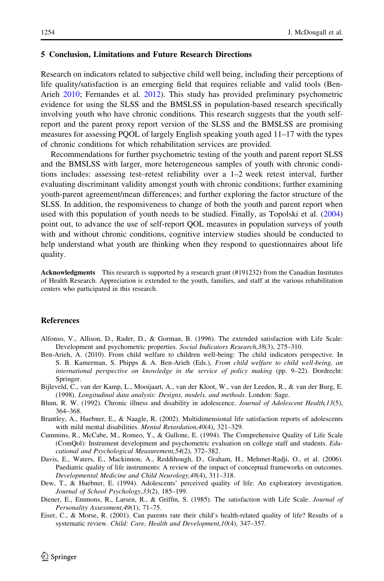#### <span id="page-12-0"></span>5 Conclusion, Limitations and Future Research Directions

Research on indicators related to subjective child well being, including their perceptions of life quality/satisfaction is an emerging field that requires reliable and valid tools (Ben-Arieh 2010; Fernandes et al. [2012\)](#page-13-0). This study has provided preliminary psychometric evidence for using the SLSS and the BMSLSS in population-based research specifically involving youth who have chronic conditions. This research suggests that the youth selfreport and the parent proxy report version of the SLSS and the BMSLSS are promising measures for assessing PQOL of largely English speaking youth aged 11–17 with the types of chronic conditions for which rehabilitation services are provided.

Recommendations for further psychometric testing of the youth and parent report SLSS and the BMSLSS with larger, more heterogeneous samples of youth with chronic conditions includes: assessing test–retest reliability over a 1–2 week retest interval, further evaluating discriminant validity amongst youth with chronic conditions; further examining youth-parent agreement/mean differences; and further exploring the factor structure of the SLSS. In addition, the responsiveness to change of both the youth and parent report when used with this population of youth needs to be studied. Finally, as Topolski et al. ([2004](#page-14-0)) point out, to advance the use of self-report QOL measures in population surveys of youth with and without chronic conditions, cognitive interview studies should be conducted to help understand what youth are thinking when they respond to questionnaires about life quality.

Acknowledgments This research is supported by a research grant (#191232) from the Canadian Institutes of Health Research. Appreciation is extended to the youth, families, and staff at the various rehabilitation centers who participated in this research.

## **References**

- Alfonso, V., Allison, D., Rader, D., & Gorman, B. (1996). The extended satisfaction with Life Scale: Development and psychometric properties. Social Indicators Research,38(3), 275–310.
- Ben-Arieh, A. (2010). From child welfare to children well-being: The child indicators perspective. In S. B. Kamerman, S. Phipps & A. Ben-Arieh (Eds.), From child welfare to child well-being, an international perspective on knowledge in the service of policy making (pp. 9–22). Dordrecht: Springer.
- Bijleveld, C., van der Kamp, L., Mooijaart, A., van der Kloot, W., van der Leeden, R., & van der Burg, E. (1998). Longitudinal data analysis: Designs, models, and methods. London: Sage.
- Blum, R. W. (1992). Chronic illness and disability in adolescence. Journal of Adolescent Health,13(5), 364–368.
- Brantley, A., Huebner, E., & Naagle, R. (2002). Multidimensional life satisfaction reports of adolescents with mild mental disabilities. *Mental Retardation, 40(4)*, 321–329.
- Cummins, R., McCabe, M., Romeo, Y., & Gullone, E. (1994). The Comprehensive Quality of Life Scale (ComQol): Instrument development and psychometric evaluation on college staff and students. Educational and Psychological Measurement,54(2), 372–382.
- Davis, E., Waters, E., Mackinnon, A., Reddihough, D., Graham, H., Mehmet-Radji, O., et al. (2006). Paediatric quality of life instruments: A review of the impact of conceptual frameworks on outcomes. Developmental Medicine and Child Neurology,48(4), 311–318.
- Dew, T., & Huebner, E. (1994). Adolescents' perceived quality of life: An exploratory investigation. Journal of School Psychology,33(2), 185–199.
- Diener, E., Emmons, R., Larsen, R., & Griffin, S. (1985). The satisfaction with Life Scale. Journal of Personality Assessment,49(1), 71–75.
- Eiser, C., & Morse, R. (2001). Can parents rate their child's health-related quality of life? Results of a systematic review. Child: Care, Health and Development,10(4), 347–357.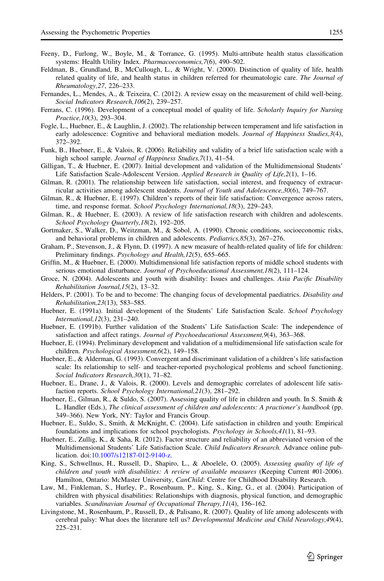- <span id="page-13-0"></span>Feeny, D., Furlong, W., Boyle, M., & Torrance, G. (1995). Multi-attribute health status classification systems: Health Utility Index. *Pharmacoeconomics*, 7(6), 490–502.
- Feldman, B., Grundland, B., McCullough, L., & Wright, V. (2000). Distinction of quality of life, health related quality of life, and health status in children referred for rheumatologic care. The Journal of Rheumatology,27, 226–233.
- Fernandes, L., Mendes, A., & Teixeira, C. (2012). A review essay on the measurement of child well-being. Social Indicators Research,106(2), 239–257.
- Ferrans, C. (1996). Development of a conceptual model of quality of life. Scholarly Inquiry for Nursing Practice,10(3), 293–304.
- Fogle, L., Huebner, E., & Laughlin, J. (2002). The relationship between temperament and life satisfaction in early adolescence: Cognitive and behavioral mediation models. Journal of Happiness Studies, 3(4), 372–392.
- Funk, B., Huebner, E., & Valois, R. (2006). Reliability and validity of a brief life satisfaction scale with a high school sample. Journal of Happiness Studies, 7(1), 41–54.
- Gilligan, T., & Huebner, E. (2007). Initial development and validation of the Multidimensional Students' Life Satisfaction Scale-Adolescent Version. Applied Research in Quality of Life, 2(1), 1–16.
- Gilman, R. (2001). The relationship between life satisfaction, social interest, and frequency of extracurricular activities among adolescent students. Journal of Youth and Adolescence,30(6), 749–767.
- Gilman, R., & Huebner, E. (1997). Children's reports of their life satisfaction: Convergence across raters, time, and response format. School Psychology International, 18(3), 229-243.
- Gilman, R., & Huebner, E. (2003). A review of life satisfaction research with children and adolescents. School Psychology Quarterly, 18(2), 192-205.
- Gortmaker, S., Walker, D., Weitzman, M., & Sobol, A. (1990). Chronic conditions, socioeconomic risks, and behavioral problems in children and adolescents. Pediatrics,85(3), 267–276.
- Graham, P., Stevenson, J., & Flynn, D. (1997). A new measure of health-related quality of life for children: Preliminary findings. *Psychology and Health,12(5)*, 655–665.
- Griffin, M., & Huebner, E. (2000). Multidimensional life satisfaction reports of middle school students with serious emotional disturbance. Journal of Psychoeducational Assessment, 18(2), 111-124.
- Groce, N. (2004). Adolescents and youth with disability: Issues and challenges. Asia Pacific Disability Rehabilitation Journal,15(2), 13–32.
- Helders, P. (2001). To be and to become: The changing focus of developmental paediatrics. Disability and Rehabilitation,23(13), 583–585.
- Huebner, E. (1991a). Initial development of the Students' Life Satisfaction Scale. School Psychology International,12(3), 231–240.
- Huebner, E. (1991b). Further validation of the Students' Life Satisfaction Scale: The independence of satisfaction and affect ratings. Journal of Psychoeducational Assessment,9(4), 363–368.
- Huebner, E. (1994). Preliminary development and validation of a multidimensional life satisfaction scale for children. Psychological Assessment,6(2), 149–158.
- Huebner, E., & Alderman, G. (1993). Convergent and discriminant validation of a children's life satisfaction scale: Its relationship to self- and teacher-reported psychological problems and school functioning. Social Indicators Research,30(1), 71–82.
- Huebner, E., Drane, J., & Valois, R. (2000). Levels and demographic correlates of adolescent life satisfaction reports. School Psychology International,21(3), 281–292.
- Huebner, E., Gilman, R., & Suldo, S. (2007). Assessing quality of life in children and youth. In S. Smith & L. Handler (Eds.), The clinical assessment of children and adolescents: A practioner's handbook (pp. 349–366). New York, NY: Taylor and Francis Group.
- Huebner, E., Suldo, S., Smith, & McKnight, C. (2004). Life satisfaction in children and youth: Empirical foundations and implications for school psychologists. Psychology in Schools,41(1), 81–93.
- Huebner, E., Zullig, K., & Saha, R. (2012). Factor structure and reliability of an abbreviated version of the Multidimensional Students' Life Satisfaction Scale. Child Indicators Research. Advance online publication. doi:[10.1007/s12187-012-9140-z](http://dx.doi.org/10.1007/s12187-012-9140-z).
- King, S., Schwellnus, H., Russell, D., Shapiro, L., & Aboelele, O. (2005). Assessing quality of life of children and youth with disabilities: A review of available measures (Keeping Current #01-2006). Hamilton, Ontario: McMaster University, CanChild: Centre for Childhood Disability Research.
- Law, M., Finkleman, S., Hurley, P., Rosenbaum, P., King, S., King, G., et al. (2004). Participation of children with physical disabilities: Relationships with diagnosis, physical function, and demographic variables. Scandinavian Journal of Occupational Therapy,11(4), 156–162.
- Livingstone, M., Rosenbaum, P., Russell, D., & Palisano, R. (2007). Quality of life among adolescents with cerebral palsy: What does the literature tell us? Developmental Medicine and Child Neurology,49(4), 225–231.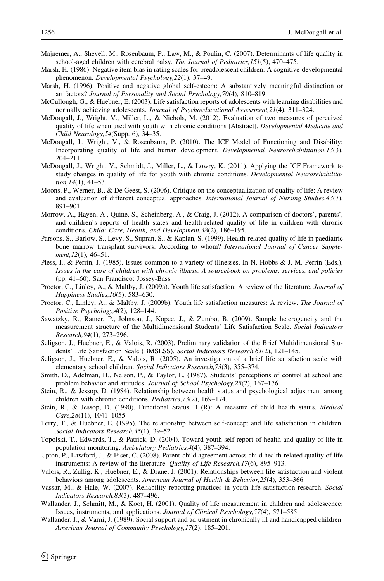- <span id="page-14-0"></span>Majnemer, A., Shevell, M., Rosenbaum, P., Law, M., & Poulin, C. (2007). Determinants of life quality in school-aged children with cerebral palsy. The Journal of Pediatrics,151(5), 470-475.
- Marsh, H. (1986). Negative item bias in rating scales for preadolescent children: A cognitive-developmental phenomenon. Developmental Psychology,22(1), 37–49.
- Marsh, H. (1996). Positive and negative global self-esteem: A substantively meaningful distinction or artifactors? Journal of Personality and Social Psychology,70(4), 810–819.
- McCullough, G., & Huebner, E. (2003). Life satisfaction reports of adolescents with learning disabilities and normally achieving adolescents. Journal of Psychoeducational Assessment, 21(4), 311–324.
- McDougall, J., Wright, V., Miller, L., & Nichols, M. (2012). Evaluation of two measures of perceived quality of life when used with youth with chronic conditions [Abstract]. Developmental Medicine and Child Neurology,54(Supp. 6), 34–35.
- McDougall, J., Wright, V., & Rosenbaum, P. (2010). The ICF Model of Functioning and Disability: Incorporating quality of life and human development. Developmental Neurorehabilitation,13(3), 204–211.
- McDougall, J., Wright, V., Schmidt, J., Miller, L., & Lowry, K. (2011). Applying the ICF Framework to study changes in quality of life for youth with chronic conditions. Developmental Neurorehabilitation,14(1), 41–53.
- Moons, P., Werner, B., & De Geest, S. (2006). Critique on the conceptualization of quality of life: A review and evaluation of different conceptual approaches. International Journal of Nursing Studies,43(7), 891–901.
- Morrow, A., Hayen, A., Quine, S., Scheinberg, A., & Craig, J. (2012). A comparison of doctors', parents', and children's reports of health states and health-related quality of life in children with chronic conditions. Child: Care, Health, and Development,38(2), 186–195.
- Parsons, S., Barlow, S., Levy, S., Supran, S., & Kaplan, S. (1999). Health-related quality of life in paediatric bone marrow transplant survivors: According to whom? International Journal of Cancer Supplement, 12(1), 46-51.
- Pless, I., & Perrin, J. (1985). Issues common to a variety of illnesses. In N. Hobbs & J. M. Perrin (Eds.), Issues in the care of children with chronic illness: A sourcebook on problems, services, and policies (pp. 41–60). San Francisco: Jossey-Bass.
- Proctor, C., Linley, A., & Maltby, J. (2009a). Youth life satisfaction: A review of the literature. Journal of Happiness Studies,10(5), 583–630.
- Proctor, C., Linley, A., & Maltby, J. (2009b). Youth life satisfaction measures: A review. The Journal of Positive Psychology,4(2), 128–144.
- Sawatzky, R., Ratner, P., Johnson, J., Kopec, J., & Zumbo, B. (2009). Sample heterogeneity and the measurement structure of the Multidimensional Students' Life Satisfaction Scale. Social Indicators Research,94(1), 273–296.
- Seligson, J., Huebner, E., & Valois, R. (2003). Preliminary validation of the Brief Multidimensional Students' Life Satisfaction Scale (BMSLSS). Social Indicators Research,61(2), 121–145.
- Seligson, J., Huebner, E., & Valois, R. (2005). An investigation of a brief life satisfaction scale with elementary school children. Social Indicators Research,73(3), 355–374.
- Smith, D., Adelman, H., Nelson, P., & Taylor, L. (1987). Students' perceptions of control at school and problem behavior and attitudes. Journal of School Psychology,25(2), 167–176.
- Stein, R., & Jessop, D. (1984). Relationship between health status and psychological adjustment among children with chronic conditions. Pediatrics,73(2), 169–174.
- Stein, R., & Jessop, D. (1990). Functional Status II (R): A measure of child health status. Medical Care,28(11), 1041–1055.
- Terry, T., & Huebner, E. (1995). The relationship between self-concept and life satisfaction in children. Social Indicators Research,35(1), 39–52.
- Topolski, T., Edwards, T., & Patrick, D. (2004). Toward youth self-report of health and quality of life in population monitoring. Ambulatory Pediatrics,4(4), 387–394.
- Upton, P., Lawford, J., & Eiser, C. (2008). Parent-child agreement across child health-related quality of life instruments: A review of the literature. Quality of Life Research,17(6), 895–913.
- Valois, R., Zullig, K., Huebner, E., & Drane, J. (2001). Relationships between life satisfaction and violent behaviors among adolescents. American Journal of Health & Behavior,25(4), 353–366.
- Vassar, M., & Hale, W. (2007). Reliability reporting practices in youth life satisfaction research. Social Indicators Research,83(3), 487–496.
- Wallander, J., Schmitt, M., & Koot, H. (2001). Quality of life measurement in children and adolescence: Issues, instruments, and applications. Journal of Clinical Psychology,57(4), 571–585.
- Wallander, J., & Varni, J. (1989). Social support and adjustment in chronically ill and handicapped children. American Journal of Community Psychology,17(2), 185–201.